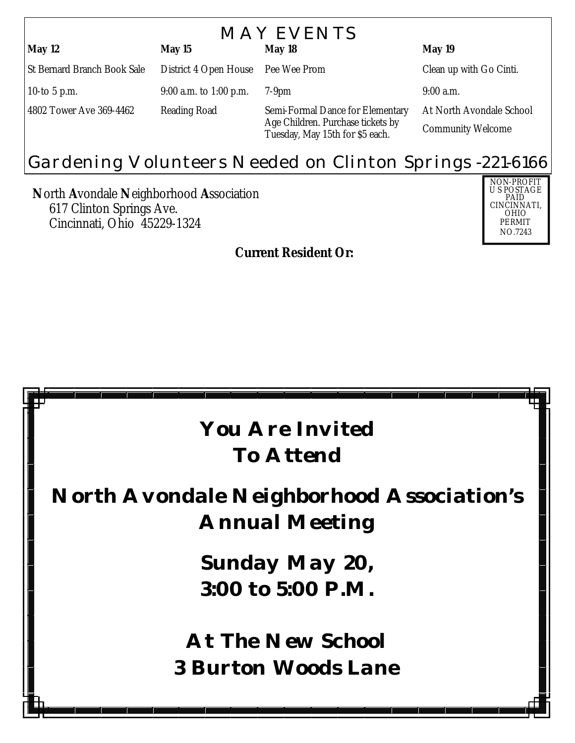| <b>MAY EVENTS</b>                  |                                    |                                                                                                          |                          |  |
|------------------------------------|------------------------------------|----------------------------------------------------------------------------------------------------------|--------------------------|--|
| <b>May 12</b>                      | May 15                             | May 18                                                                                                   | <b>May 19</b>            |  |
| <b>St Bernard Branch Book Sale</b> | District 4 Open House Pee Wee Prom |                                                                                                          | Clean up with Go Cinti.  |  |
| 10-to 5 p.m.                       | $9:00$ a.m. to 1:00 p.m.           | $7-9$ pm                                                                                                 | $9:00$ a.m.              |  |
| 4802 Tower Ave 369-4462            | <b>Reading Road</b>                | Semi-Formal Dance for Elementary<br>Age Children. Purchase tickets by<br>Tuesday, May 15th for \$5 each. | At North Avondale School |  |
|                                    |                                    |                                                                                                          | <b>Community Welcome</b> |  |

## Gardening Volunteers Needed on Clinton Springs -221-6166

**N**orth **A**vondale **N**eighborhood **A**ssociation 617 Clinton Springs Ave. Cincinnati, Ohio 45229-1324



*Current Resident Or:*